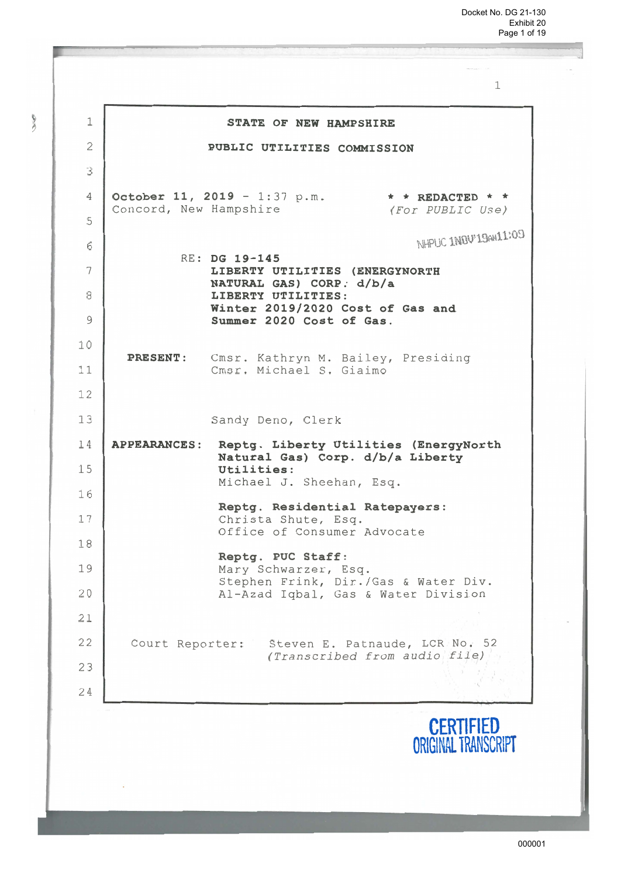| $\mathbf 1$    | STATE OF NEW HAMPSHIRE                                                                 |
|----------------|----------------------------------------------------------------------------------------|
| $\overline{c}$ | PUBLIC UTILITIES COMMISSION                                                            |
| 3              |                                                                                        |
| 4              | October 11, 2019 - 1:37 p.m.<br>$\star$ * REDACTED * *<br>Concord, New Hampshire       |
| 5              | (For PUBLIC Use)                                                                       |
| 6              | NHPLIC INDV'ISeN11:09<br>RE: DG 19-145                                                 |
| 7              | LIBERTY UTILITIES (ENERGYNORTH<br>NATURAL GAS) CORP. d/b/a                             |
| 8              | LIBERTY UTILITIES:                                                                     |
| 9              | Winter 2019/2020 Cost of Gas and<br>Summer 2020 Cost of Gas.                           |
| 10             | <b>PRESENT:</b>                                                                        |
| 11             | Cmsr. Kathryn M. Bailey, Presiding<br>Cmsr. Michael S. Giaimo                          |
| 12             |                                                                                        |
| 13             | Sandy Deno, Clerk                                                                      |
| 14             | APPEARANCES: Reptg. Liberty Utilities (EnergyNorth<br>Natural Gas) Corp. d/b/a Liberty |
| 15             | Utilities:<br>Michael J. Sheehan, Esq.                                                 |
| 16             | Reptg. Residential Ratepayers:                                                         |
| 17             | Christa Shute, Esq.<br>Office of Consumer Advocate                                     |
| 18             | Reptg. PUC Staff:                                                                      |
| 19             | Mary Schwarzer, Esq.<br>Stephen Frink, Dir./Gas & Water Div.                           |
| 20             | Al-Azad Iqbal, Gas & Water Division                                                    |
| 21             |                                                                                        |
| 22             | Court Reporter:<br>Steven E. Patnaude, LCR No. 52<br>(Transcribed from audio file)     |
| 23             |                                                                                        |
| 24             |                                                                                        |
|                | <b>CERTIFIED</b><br>ORIGINAL TRANSCRIPT                                                |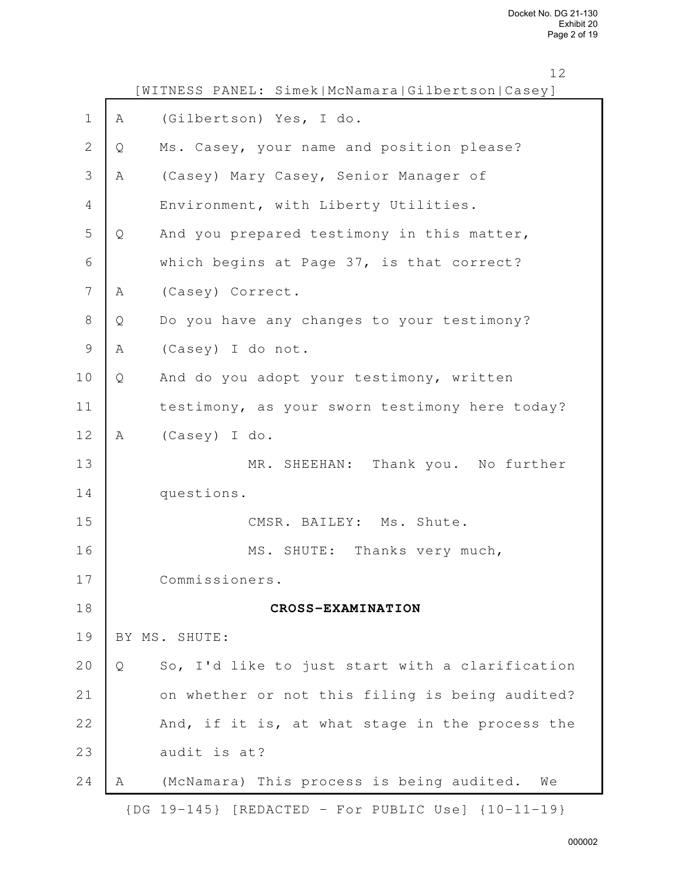|                |   | ᅩㄥ<br>[WITNESS PANEL: Simek McNamara Gilbertson Casey] |
|----------------|---|--------------------------------------------------------|
| $\mathbf 1$    | Α | (Gilbertson) Yes, I do.                                |
| $\overline{2}$ | Q | Ms. Casey, your name and position please?              |
| 3              | Α | (Casey) Mary Casey, Senior Manager of                  |
| 4              |   | Environment, with Liberty Utilities.                   |
| 5              | Q | And you prepared testimony in this matter,             |
| 6              |   | which begins at Page 37, is that correct?              |
| 7              | Α | (Casey) Correct.                                       |
| 8              | Q | Do you have any changes to your testimony?             |
| $\mathcal{G}$  | Α | (Casey) I do not.                                      |
| 10             | Q | And do you adopt your testimony, written               |
| 11             |   | testimony, as your sworn testimony here today?         |
| 12             | Α | (Casey) I do.                                          |
| 13             |   | MR. SHEEHAN: Thank you. No further                     |
| 14             |   | questions.                                             |
| 15             |   | CMSR. BAILEY: Ms. Shute.                               |
| 16             |   | MS. SHUTE: Thanks very much,                           |
| 17             |   | Commissioners.                                         |
| 18             |   | CROSS-EXAMINATION                                      |
| 19             |   | BY MS. SHUTE:                                          |
| 20             | Q | So, I'd like to just start with a clarification        |
| 21             |   | on whether or not this filing is being audited?        |
| 22             |   | And, if it is, at what stage in the process the        |
| 23             |   | audit is at?                                           |
| 24             | Α | (McNamara) This process is being audited.<br>We        |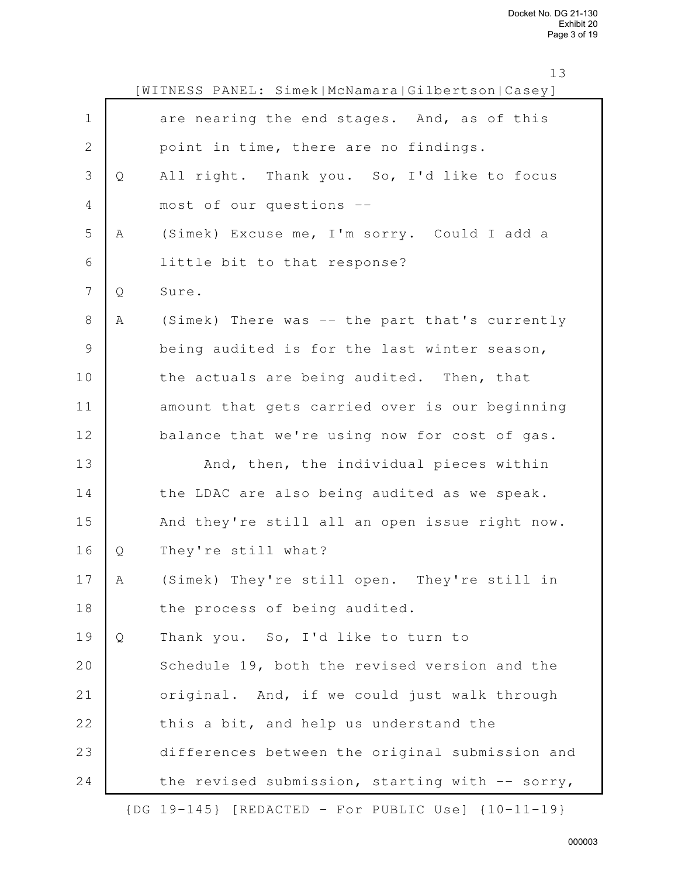<sup>13</sup>

|                |   | WITNESS PANEL: Simek McNamara Gilbertson Casey] |
|----------------|---|-------------------------------------------------|
| $\mathbf 1$    |   | are nearing the end stages. And, as of this     |
| $\mathbf 2$    |   | point in time, there are no findings.           |
| 3              | Q | All right. Thank you. So, I'd like to focus     |
| $\overline{4}$ |   | most of our questions --                        |
| 5              | Α | (Simek) Excuse me, I'm sorry. Could I add a     |
| $\sqrt{6}$     |   | little bit to that response?                    |
| $\overline{7}$ | Q | Sure.                                           |
| $8\,$          | Α | (Simek) There was -- the part that's currently  |
| $\mathsf 9$    |   | being audited is for the last winter season,    |
| 10             |   | the actuals are being audited. Then, that       |
| 11             |   | amount that gets carried over is our beginning  |
| 12             |   | balance that we're using now for cost of gas.   |
| 13             |   | And, then, the individual pieces within         |
| 14             |   | the LDAC are also being audited as we speak.    |
| 15             |   | And they're still all an open issue right now.  |
| 16             | Q | They're still what?                             |
| 17             | Α | (Simek) They're still open. They're still in    |
| 18             |   | the process of being audited.                   |
| 19             | Q | Thank you. So, I'd like to turn to              |
| 20             |   | Schedule 19, both the revised version and the   |
| 21             |   | original. And, if we could just walk through    |
| 22             |   | this a bit, and help us understand the          |
| 23             |   | differences between the original submission and |
| 24             |   | the revised submission, starting with -- sorry, |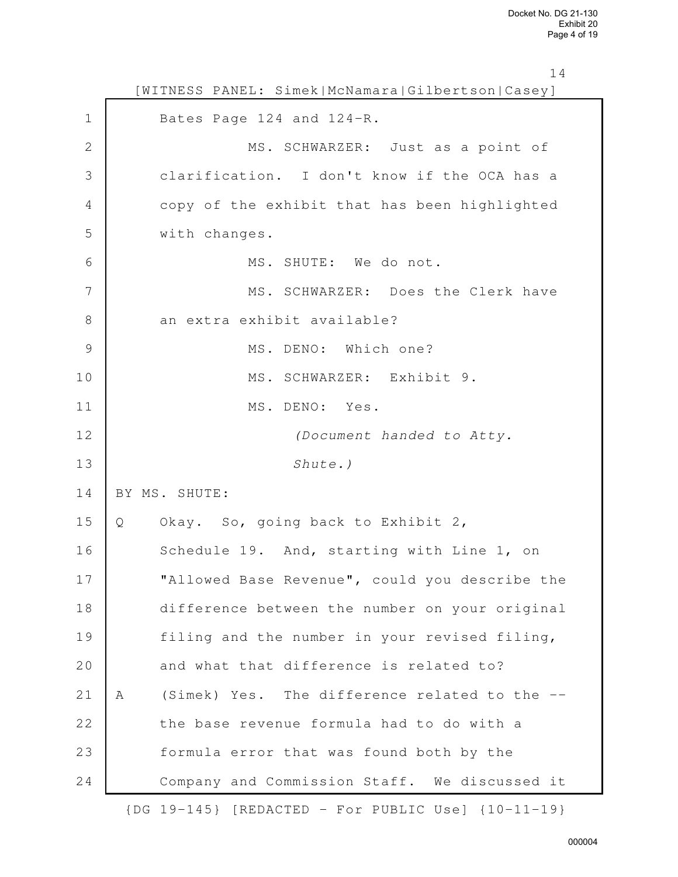|              | 14<br>[WITNESS PANEL: Simek McNamara Gilbertson Casey] |
|--------------|--------------------------------------------------------|
| $\mathbf 1$  | Bates Page 124 and 124-R.                              |
| $\mathbf{2}$ | MS. SCHWARZER: Just as a point of                      |
| 3            | clarification. I don't know if the OCA has a           |
| 4            | copy of the exhibit that has been highlighted          |
| 5            | with changes.                                          |
| 6            | MS. SHUTE: We do not.                                  |
| 7            | MS. SCHWARZER: Does the Clerk have                     |
| $\,8\,$      | an extra exhibit available?                            |
| 9            | MS. DENO: Which one?                                   |
| 10           | MS. SCHWARZER: Exhibit 9.                              |
| 11           | MS. DENO: Yes.                                         |
| 12           | (Document handed to Atty.                              |
| 13           | Shute.)                                                |
| 14           | BY MS. SHUTE:                                          |
| 15           | Okay. So, going back to Exhibit 2,<br>Q                |
| 16           | Schedule 19. And, starting with Line 1, on             |
| 17           | "Allowed Base Revenue", could you describe the         |
| 18           | difference between the number on your original         |
| 19           | filing and the number in your revised filing,          |
| 20           | and what that difference is related to?                |
| 21           | (Simek) Yes. The difference related to the --<br>A     |
| 22           | the base revenue formula had to do with a              |
| 23           | formula error that was found both by the               |
| 24           | Company and Commission Staff. We discussed it          |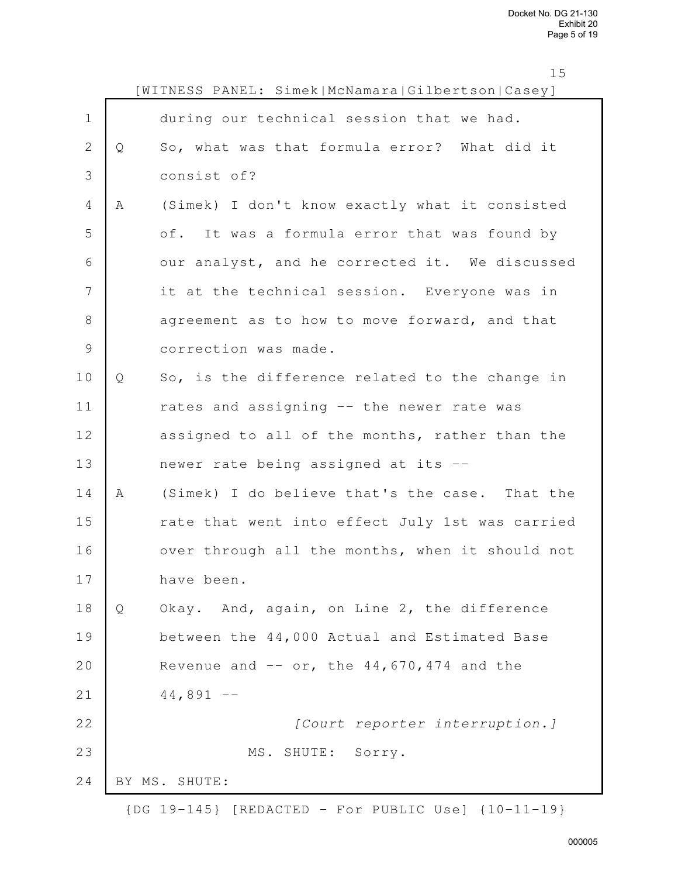|                |   | [WITNESS PANEL: Simek McNamara Gilbertson Casey] |
|----------------|---|--------------------------------------------------|
| $1\,$          |   | during our technical session that we had.        |
| $\mathbf{2}$   | Q | So, what was that formula error? What did it     |
| 3              |   | consist of?                                      |
| $\overline{4}$ | Α | (Simek) I don't know exactly what it consisted   |
| 5              |   | of. It was a formula error that was found by     |
| 6              |   | our analyst, and he corrected it. We discussed   |
| 7              |   | it at the technical session. Everyone was in     |
| $8\,$          |   | agreement as to how to move forward, and that    |
| $\mathcal{G}$  |   | correction was made.                             |
| 10             | Q | So, is the difference related to the change in   |
| 11             |   | rates and assigning -- the newer rate was        |
| 12             |   | assigned to all of the months, rather than the   |
| 13             |   | newer rate being assigned at its --              |
| 14             | A | (Simek) I do believe that's the case. That the   |
| 15             |   | rate that went into effect July 1st was carried  |
| 16             |   | over through all the months, when it should not  |
| 17             |   | have been.                                       |
| 18             | Q | Okay. And, again, on Line 2, the difference      |
| 19             |   | between the 44,000 Actual and Estimated Base     |
| 20             |   | Revenue and $--$ or, the $44,670,474$ and the    |
| 21             |   | $44,891 - -$                                     |
| 22             |   | [Court reporter interruption.]                   |
| 23             |   | MS. SHUTE: Sorry.                                |
| 24             |   | BY MS. SHUTE:                                    |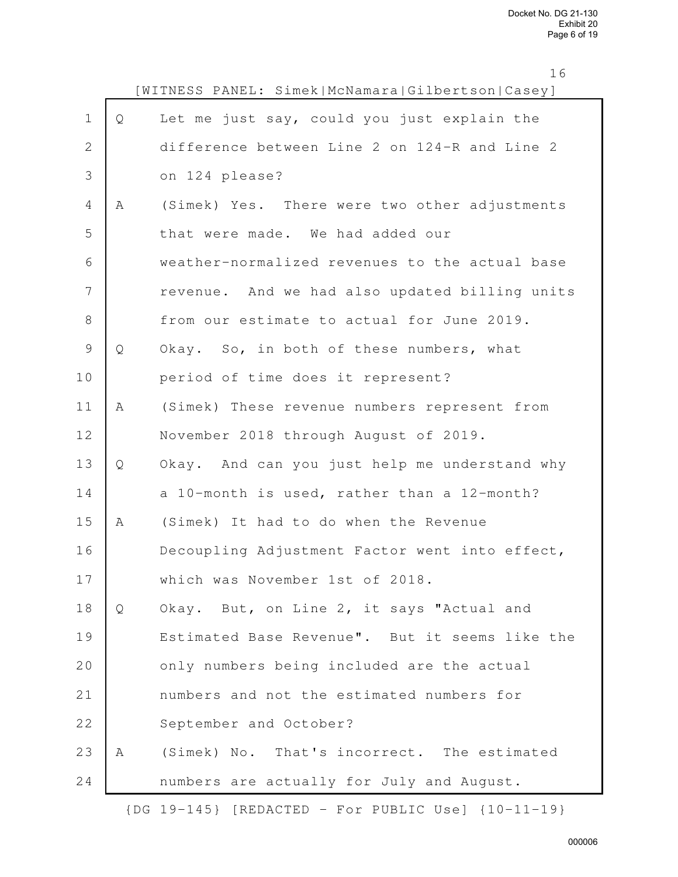|                |   | [WITNESS PANEL: Simek McNamara Gilbertson Casey] |
|----------------|---|--------------------------------------------------|
| $1\,$          | Q | Let me just say, could you just explain the      |
| 2              |   | difference between Line 2 on 124-R and Line 2    |
| $\mathfrak{Z}$ |   | on 124 please?                                   |
| 4              | A | (Simek) Yes. There were two other adjustments    |
| 5              |   | that were made. We had added our                 |
| 6              |   | weather-normalized revenues to the actual base   |
| 7              |   | revenue. And we had also updated billing units   |
| $\,8\,$        |   | from our estimate to actual for June 2019.       |
| $\mathcal{G}$  | Q | Okay. So, in both of these numbers, what         |
| 10             |   | period of time does it represent?                |
| 11             | Α | (Simek) These revenue numbers represent from     |
| 12             |   | November 2018 through August of 2019.            |
| 13             | Q | Okay. And can you just help me understand why    |
| 14             |   | a 10-month is used, rather than a 12-month?      |
| 15             | A | (Simek) It had to do when the Revenue            |
| 16             |   | Decoupling Adjustment Factor went into effect,   |
| 17             |   | which was November 1st of 2018.                  |
| 18             | Q | Okay. But, on Line 2, it says "Actual and        |
| 19             |   | Estimated Base Revenue". But it seems like the   |
| 20             |   | only numbers being included are the actual       |
| 21             |   | numbers and not the estimated numbers for        |
| 22             |   | September and October?                           |
| 23             | Α | (Simek) No. That's incorrect. The estimated      |
| 24             |   | numbers are actually for July and August.        |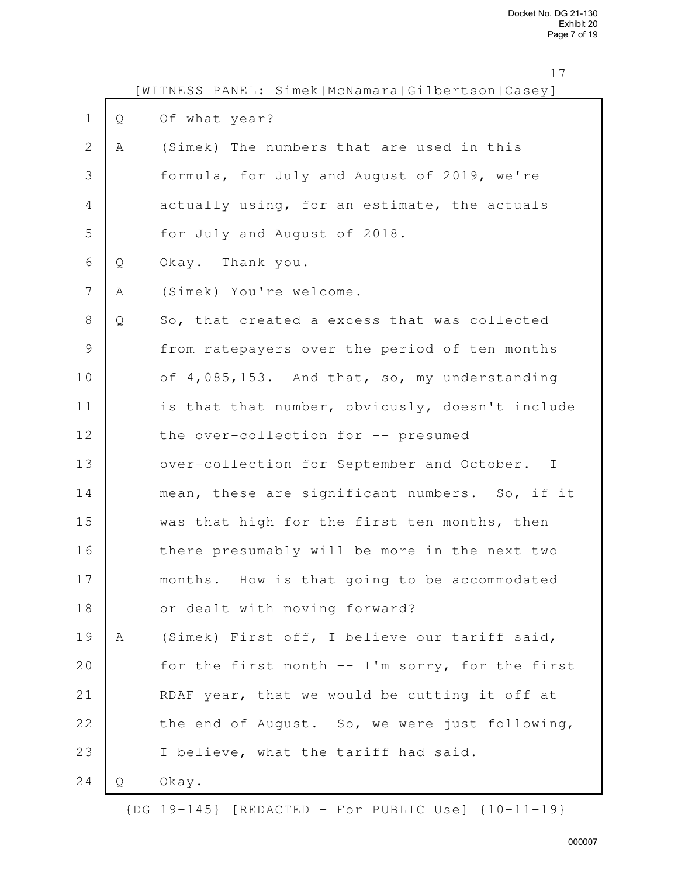|               |   | [WITNESS PANEL: Simek McNamara Gilbertson Casey] |
|---------------|---|--------------------------------------------------|
| $\mathbf 1$   | Q | Of what year?                                    |
| $\mathbf{2}$  | Α | (Simek) The numbers that are used in this        |
| 3             |   | formula, for July and August of 2019, we're      |
| 4             |   | actually using, for an estimate, the actuals     |
| 5             |   | for July and August of 2018.                     |
| 6             | Q | Okay. Thank you.                                 |
| 7             | Α | (Simek) You're welcome.                          |
| $8\,$         | Q | So, that created a excess that was collected     |
| $\mathcal{G}$ |   | from ratepayers over the period of ten months    |
| 10            |   | of 4,085,153. And that, so, my understanding     |
| 11            |   | is that that number, obviously, doesn't include  |
| 12            |   | the over-collection for -- presumed              |
| 13            |   | over-collection for September and October. I     |
| 14            |   | mean, these are significant numbers. So, if it   |
| 15            |   | was that high for the first ten months, then     |
| 16            |   | there presumably will be more in the next two    |
| 17            |   | months. How is that going to be accommodated     |
| 18            |   | or dealt with moving forward?                    |
| 19            | Α | (Simek) First off, I believe our tariff said,    |
| 20            |   | for the first month -- I'm sorry, for the first  |
| 21            |   | RDAF year, that we would be cutting it off at    |
| 22            |   | the end of August. So, we were just following,   |
| 23            |   | I believe, what the tariff had said.             |
| 24            | Q | Okay.                                            |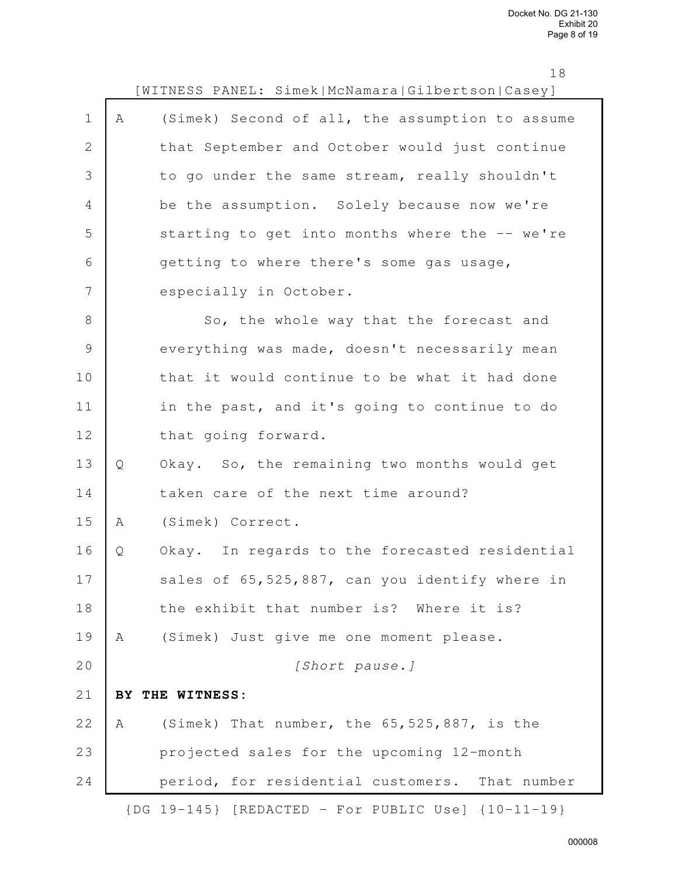|                |              | TΩ<br>WITNESS PANEL: Simek McNamara Gilbertson Casey]      |
|----------------|--------------|------------------------------------------------------------|
| $\mathbf 1$    | Α            | (Simek) Second of all, the assumption to assume            |
| $\mathbf{2}$   |              | that September and October would just continue             |
| 3              |              | to go under the same stream, really shouldn't              |
| $\overline{4}$ |              | be the assumption. Solely because now we're                |
| 5              |              | starting to get into months where the -- we're             |
| 6              |              | getting to where there's some gas usage,                   |
| 7              |              | especially in October.                                     |
| 8              |              | So, the whole way that the forecast and                    |
| $\mathcal{G}$  |              | everything was made, doesn't necessarily mean              |
| 10             |              | that it would continue to be what it had done              |
| 11             |              | in the past, and it's going to continue to do              |
| 12             |              | that going forward.                                        |
| 13             | $\mathsf{Q}$ | Okay. So, the remaining two months would get               |
| 14             |              | taken care of the next time around?                        |
| 15             | Α            | (Simek) Correct.                                           |
| 16             | Q            | Okay. In regards to the forecasted residential             |
| 17             |              | sales of 65,525,887, can you identify where in             |
| 18             |              | the exhibit that number is? Where it is?                   |
| 19             | Α            | (Simek) Just give me one moment please.                    |
| 20             |              | [Short pause.]                                             |
| 21             | BY.          | THE WITNESS:                                               |
| 22             | Α            | (Simek) That number, the 65, 525, 887, is the              |
| 23             |              | projected sales for the upcoming 12-month                  |
| 24             |              | period, for residential customers. That number             |
|                |              | $\{DG 19-145\}$ [REDACTED - For PUBLIC Use] $\{10-11-19\}$ |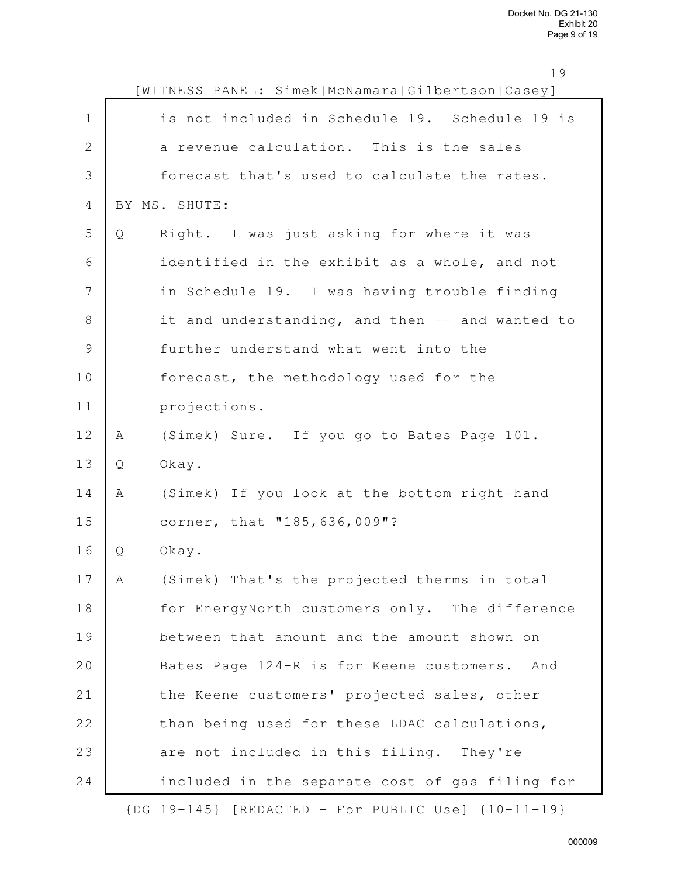|               |   | [WITNESS PANEL: Simek McNamara Gilbertson Casey] |
|---------------|---|--------------------------------------------------|
| $\mathbf 1$   |   | is not included in Schedule 19. Schedule 19 is   |
| $\mathbf{2}$  |   | a revenue calculation. This is the sales         |
| 3             |   | forecast that's used to calculate the rates.     |
| 4             |   | BY MS. SHUTE:                                    |
| 5             | Q | Right. I was just asking for where it was        |
| 6             |   | identified in the exhibit as a whole, and not    |
| 7             |   | in Schedule 19. I was having trouble finding     |
| 8             |   | it and understanding, and then -- and wanted to  |
| $\mathcal{G}$ |   | further understand what went into the            |
| 10            |   | forecast, the methodology used for the           |
| 11            |   | projections.                                     |
| 12            | Α | (Simek) Sure. If you go to Bates Page 101.       |
| 13            | Q | Okay.                                            |
| 14            | Α | (Simek) If you look at the bottom right-hand     |
| 15            |   | corner, that "185, 636, 009"?                    |
| 16            | Q | Okay.                                            |
| 17            | Α | (Simek) That's the projected therms in total     |
| 18            |   | for EnergyNorth customers only. The difference   |
| 19            |   | between that amount and the amount shown on      |
| 20            |   | Bates Page 124-R is for Keene customers. And     |
| 21            |   | the Keene customers' projected sales, other      |
| 22            |   | than being used for these LDAC calculations,     |
| 23            |   | are not included in this filing. They're         |
| 24            |   | included in the separate cost of gas filing for  |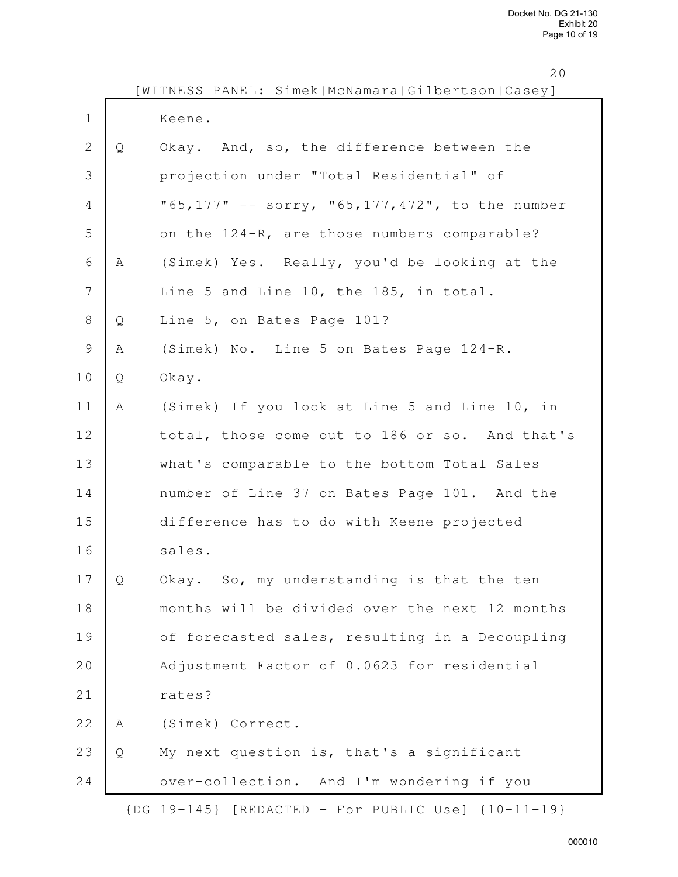| × |  |
|---|--|

|              |   | WITNESS PANEL: Simek McNamara Gilbertson Casey]             |
|--------------|---|-------------------------------------------------------------|
| $\mathbf 1$  |   | Keene.                                                      |
| $\mathbf{2}$ | Q | Okay. And, so, the difference between the                   |
| 3            |   | projection under "Total Residential" of                     |
| 4            |   | "65,177" -- sorry, "65,177,472", to the number              |
| 5            |   | on the 124-R, are those numbers comparable?                 |
| 6            | A | (Simek) Yes. Really, you'd be looking at the                |
| 7            |   | Line 5 and Line 10, the 185, in total.                      |
| $\,8\,$      | Q | Line 5, on Bates Page 101?                                  |
| $\mathsf 9$  | Α | (Simek) No. Line 5 on Bates Page 124-R.                     |
| 10           | Q | Okay.                                                       |
| 11           | Α | (Simek) If you look at Line 5 and Line 10, in               |
| 12           |   | total, those come out to 186 or so. And that's              |
| 13           |   | what's comparable to the bottom Total Sales                 |
| 14           |   | number of Line 37 on Bates Page 101. And the                |
| 15           |   | difference has to do with Keene projected                   |
| 16           |   | sales.                                                      |
| 17           | Q | Okay. So, my understanding is that the ten                  |
| 18           |   | months will be divided over the next 12 months              |
| 19           |   | of forecasted sales, resulting in a Decoupling              |
| 20           |   | Adjustment Factor of 0.0623 for residential                 |
| 21           |   | rates?                                                      |
| 22           | Α | (Simek) Correct.                                            |
| 23           | Q | My next question is, that's a significant                   |
| 24           |   | over-collection. And I'm wondering if you                   |
|              |   | $\{DG\ 19-145\}$ [REDACTED - For PUBLIC Use] $\{10-11-19\}$ |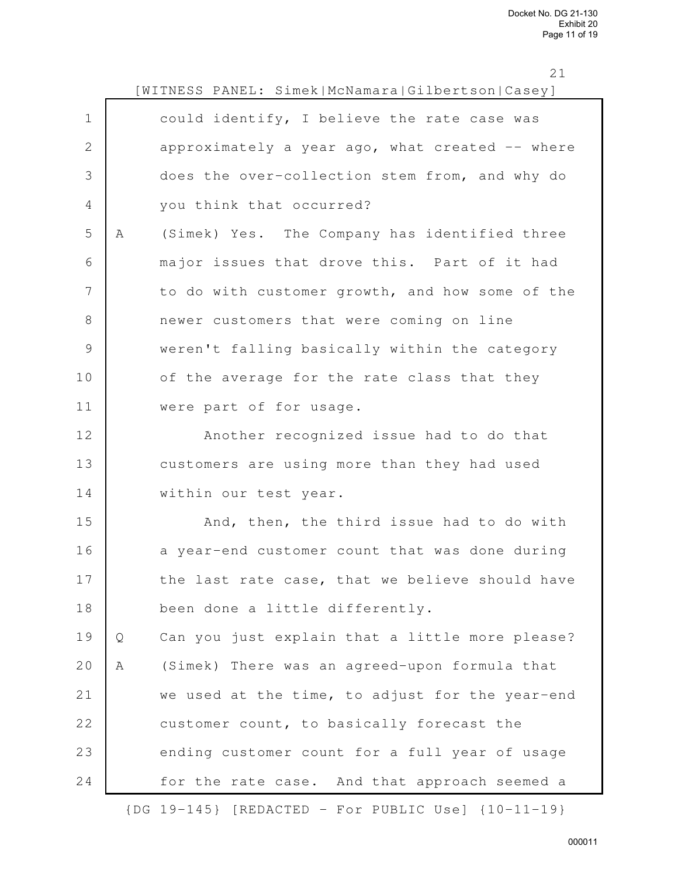|                |   | [WITNESS PANEL: Simek McNamara Gilbertson Casey] |
|----------------|---|--------------------------------------------------|
| $\mathbf 1$    |   | could identify, I believe the rate case was      |
| $\sqrt{2}$     |   | approximately a year ago, what created -- where  |
| 3              |   | does the over-collection stem from, and why do   |
| $\overline{4}$ |   | you think that occurred?                         |
| 5              | Α | (Simek) Yes. The Company has identified three    |
| 6              |   | major issues that drove this. Part of it had     |
| 7              |   | to do with customer growth, and how some of the  |
| $8\,$          |   | newer customers that were coming on line         |
| $\mathcal{G}$  |   | weren't falling basically within the category    |
| 10             |   | of the average for the rate class that they      |
| 11             |   | were part of for usage.                          |
| 12             |   | Another recognized issue had to do that          |
| 13             |   | customers are using more than they had used      |
| 14             |   | within our test year.                            |
| 15             |   | And, then, the third issue had to do with        |
| 16             |   | a year-end customer count that was done during   |
| 17             |   | the last rate case, that we believe should have  |
| $1\,8$         |   | been done a little differently.                  |
| 19             | Q | Can you just explain that a little more please?  |
| 20             | Α | (Simek) There was an agreed-upon formula that    |
| 21             |   | we used at the time, to adjust for the year-end  |
| 22             |   | customer count, to basically forecast the        |
| 23             |   | ending customer count for a full year of usage   |
| 24             |   | for the rate case. And that approach seemed a    |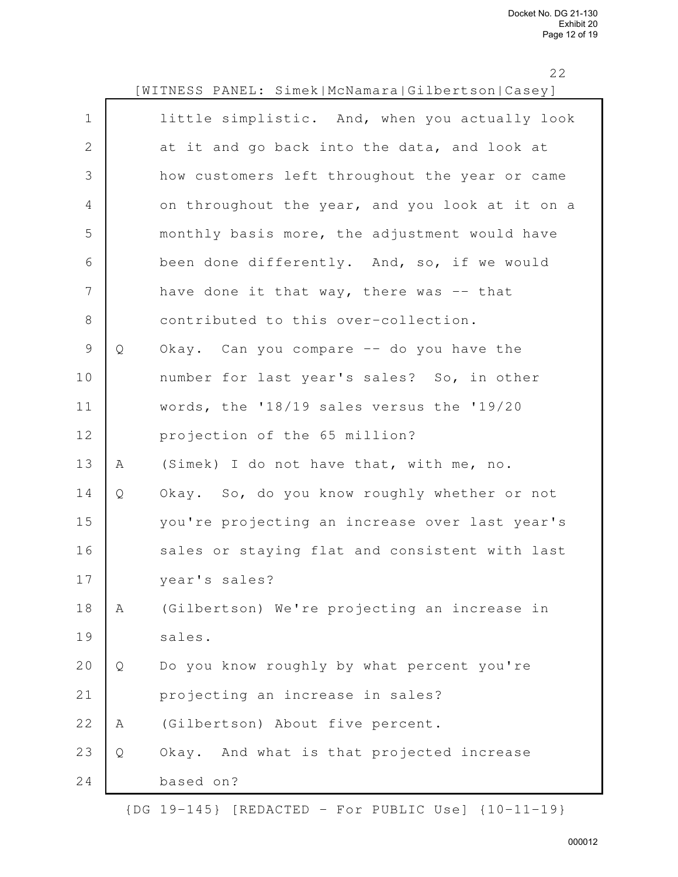|                |             | 22<br>[WITNESS PANEL: Simek McNamara Gilbertson Casey] |
|----------------|-------------|--------------------------------------------------------|
| $\mathbf 1$    |             | little simplistic. And, when you actually look         |
|                |             |                                                        |
| $\mathbf{2}$   |             | at it and go back into the data, and look at           |
| $\mathfrak{Z}$ |             | how customers left throughout the year or came         |
| $\overline{4}$ |             | on throughout the year, and you look at it on a        |
| 5              |             | monthly basis more, the adjustment would have          |
| 6              |             | been done differently. And, so, if we would            |
| 7              |             | have done it that way, there was $-$ - that            |
| $8\,$          |             | contributed to this over-collection.                   |
| $\mathcal{G}$  | Q           | Okay. Can you compare -- do you have the               |
| 10             |             | number for last year's sales? So, in other             |
| 11             |             | words, the '18/19 sales versus the '19/20              |
| 12             |             | projection of the 65 million?                          |
| 13             | A           | (Simek) I do not have that, with me, no.               |
| 14             | Q           | Okay. So, do you know roughly whether or not           |
| 15             |             | you're projecting an increase over last year's         |
| 16             |             | sales or staying flat and consistent with last         |
| 17             |             | year's sales?                                          |
| 18             | $\mathbb A$ | (Gilbertson) We're projecting an increase in           |
| 19             |             | sales.                                                 |
| 20             | Q           | Do you know roughly by what percent you're             |
| 21             |             | projecting an increase in sales?                       |
| 22             | A           | (Gilbertson) About five percent.                       |
| 23             | Q           | Okay. And what is that projected increase              |
| 24             |             | based on?                                              |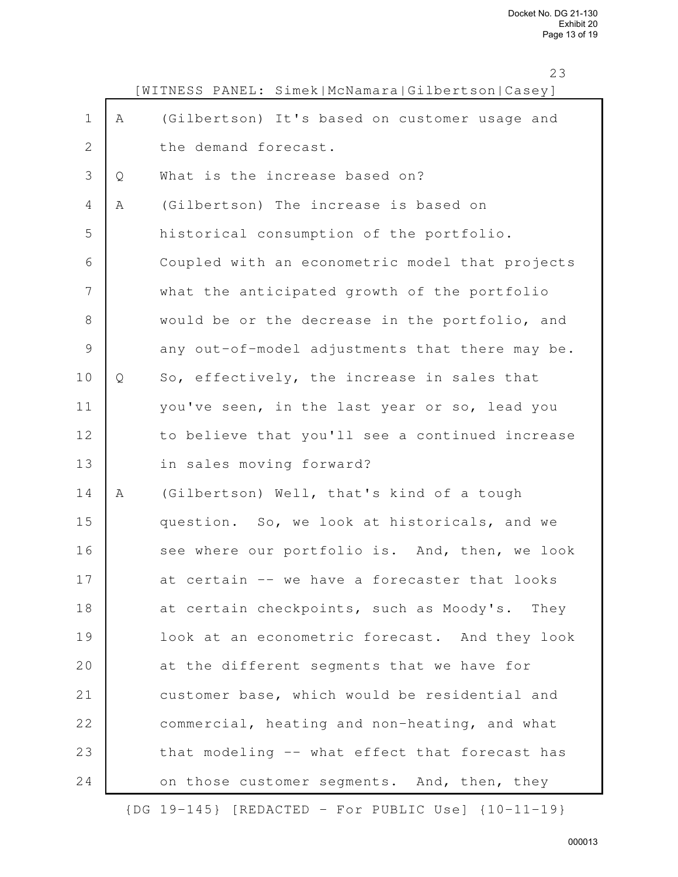$2<sup>2</sup>$ 

|              |   | 23<br>[WITNESS PANEL: Simek McNamara Gilbertson Casey] |
|--------------|---|--------------------------------------------------------|
| $\mathbf 1$  | Α | (Gilbertson) It's based on customer usage and          |
| $\mathbf{2}$ |   | the demand forecast.                                   |
| 3            | Q | What is the increase based on?                         |
| 4            | Α | (Gilbertson) The increase is based on                  |
| 5            |   | historical consumption of the portfolio.               |
| 6            |   | Coupled with an econometric model that projects        |
| 7            |   | what the anticipated growth of the portfolio           |
| $8\,$        |   | would be or the decrease in the portfolio, and         |
| $\mathsf 9$  |   | any out-of-model adjustments that there may be.        |
| 10           | Q | So, effectively, the increase in sales that            |
| 11           |   | you've seen, in the last year or so, lead you          |
| 12           |   | to believe that you'll see a continued increase        |
| 13           |   | in sales moving forward?                               |
| 14           | Α | (Gilbertson) Well, that's kind of a tough              |
| 15           |   | question. So, we look at historicals, and we           |
| 16           |   | see where our portfolio is. And, then, we look         |
| 17           |   | at certain -- we have a forecaster that looks          |
| 18           |   | at certain checkpoints, such as Moody's. They          |
| 19           |   | look at an econometric forecast. And they look         |
| 20           |   | at the different segments that we have for             |
| 21           |   | customer base, which would be residential and          |
| 22           |   | commercial, heating and non-heating, and what          |
| 23           |   | that modeling -- what effect that forecast has         |
| 24           |   | on those customer segments. And, then, they            |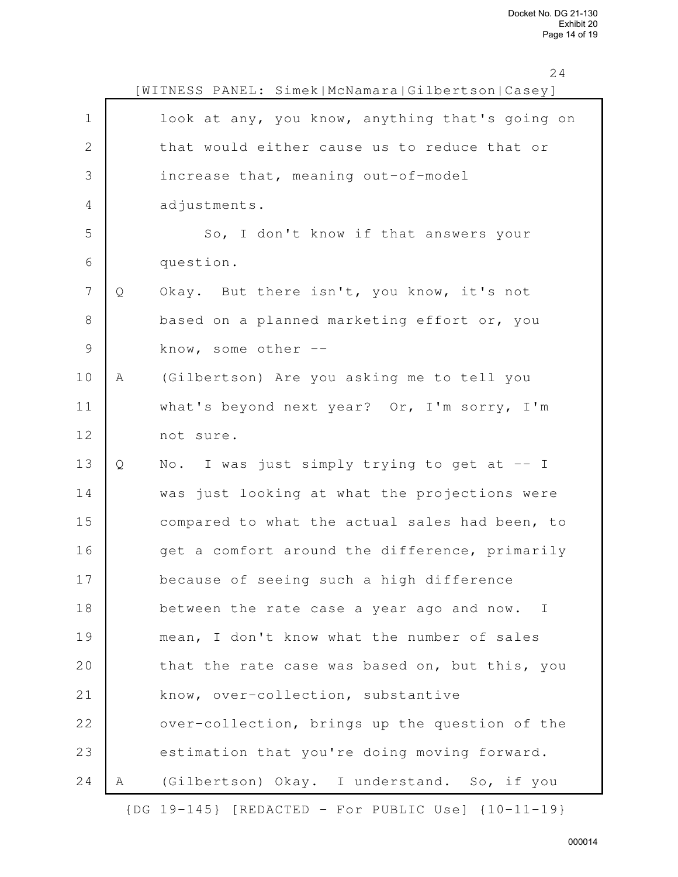<sup>24</sup>

|               |   | [WITNESS PANEL: Simek McNamara Gilbertson Casey]          |
|---------------|---|-----------------------------------------------------------|
| $\mathbf 1$   |   | look at any, you know, anything that's going on           |
| $\mathbf{2}$  |   | that would either cause us to reduce that or              |
| 3             |   | increase that, meaning out-of-model                       |
| 4             |   | adjustments.                                              |
| 5             |   | So, I don't know if that answers your                     |
| 6             |   | question.                                                 |
| 7             | Q | Okay. But there isn't, you know, it's not                 |
| $\,8\,$       |   | based on a planned marketing effort or, you               |
| $\mathcal{G}$ |   | know, some other --                                       |
| 10            | Α | (Gilbertson) Are you asking me to tell you                |
| 11            |   | what's beyond next year? Or, I'm sorry, I'm               |
| 12            |   | not sure.                                                 |
| 13            | Q | No. I was just simply trying to get at $-$ I              |
| 14            |   | was just looking at what the projections were             |
| 15            |   | compared to what the actual sales had been, to            |
| 16            |   | get a comfort around the difference, primarily            |
| 17            |   | because of seeing such a high difference                  |
| 18            |   | between the rate case a year ago and now.<br>$\mathbb{I}$ |
| 19            |   | mean, I don't know what the number of sales               |
| 20            |   | that the rate case was based on, but this, you            |
| 21            |   | know, over-collection, substantive                        |
| 22            |   | over-collection, brings up the question of the            |
| 23            |   | estimation that you're doing moving forward.              |
| 24            | A | (Gilbertson) Okay. I understand. So, if you               |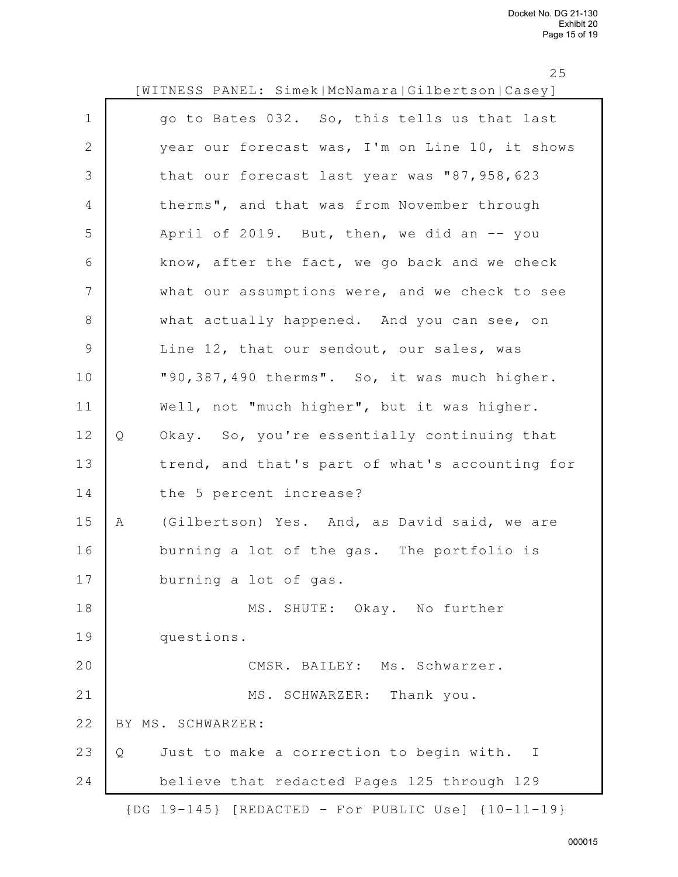|               |   | [WITNESS PANEL: Simek McNamara Gilbertson Casey] |
|---------------|---|--------------------------------------------------|
| $\mathbf 1$   |   | go to Bates 032. So, this tells us that last     |
| $\mathbf{2}$  |   | year our forecast was, I'm on Line 10, it shows  |
| $\mathcal{S}$ |   | that our forecast last year was "87,958,623      |
| 4             |   | therms", and that was from November through      |
| 5             |   | April of 2019. But, then, we did an -- you       |
| 6             |   | know, after the fact, we go back and we check    |
| 7             |   | what our assumptions were, and we check to see   |
| $\,8\,$       |   | what actually happened. And you can see, on      |
| $\mathcal{G}$ |   | Line 12, that our sendout, our sales, was        |
| 10            |   | "90,387,490 therms". So, it was much higher.     |
| 11            |   | Well, not "much higher", but it was higher.      |
| 12            | Q | Okay. So, you're essentially continuing that     |
| 13            |   | trend, and that's part of what's accounting for  |
| 14            |   | the 5 percent increase?                          |
| 15            | Α | (Gilbertson) Yes. And, as David said, we are     |
| 16            |   | burning a lot of the gas. The portfolio is       |
| 17            |   | burning a lot of gas.                            |
| 18            |   | MS. SHUTE: Okay. No further                      |
| 19            |   | questions.                                       |
| 20            |   | CMSR. BAILEY: Ms. Schwarzer.                     |
| 21            |   | MS. SCHWARZER: Thank you.                        |
| 22            |   | BY MS. SCHWARZER:                                |
| 23            | Q | Just to make a correction to begin with. I       |
| 24            |   | believe that redacted Pages 125 through 129      |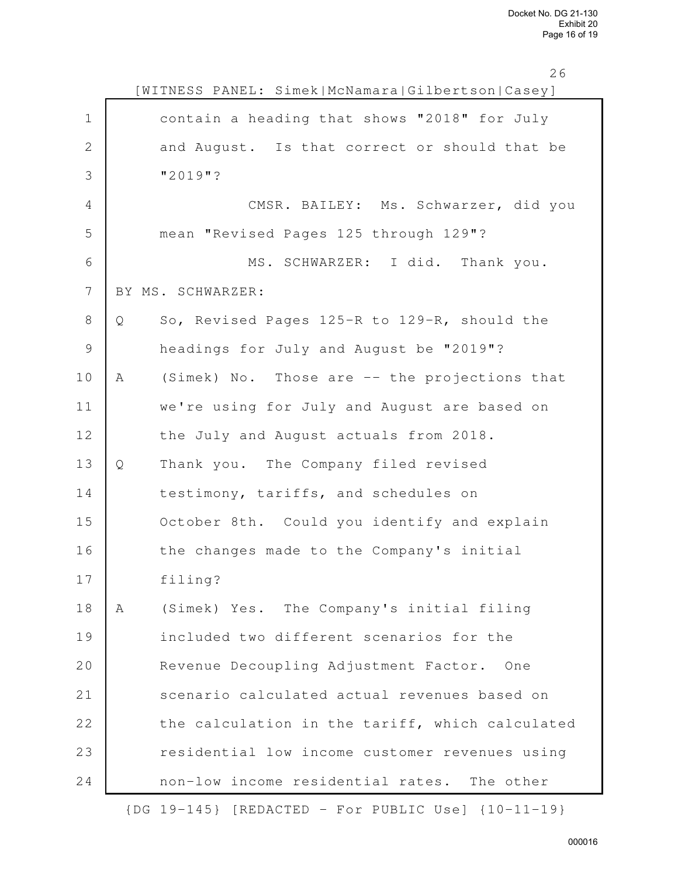|               |   | [WITNESS PANEL: Simek McNamara Gilbertson Casey] |
|---------------|---|--------------------------------------------------|
| $\mathbf 1$   |   | contain a heading that shows "2018" for July     |
| $\mathbf 2$   |   | and August. Is that correct or should that be    |
| 3             |   | $"2019"$ ?                                       |
| 4             |   | CMSR. BAILEY: Ms. Schwarzer, did you             |
| 5             |   | mean "Revised Pages 125 through 129"?            |
| 6             |   | MS. SCHWARZER: I did. Thank you.                 |
| 7             |   | BY MS. SCHWARZER:                                |
| $\,8\,$       | Q | So, Revised Pages 125-R to 129-R, should the     |
| $\mathcal{G}$ |   | headings for July and August be "2019"?          |
| 10            | A | (Simek) No. Those are -- the projections that    |
| 11            |   | we're using for July and August are based on     |
| 12            |   | the July and August actuals from 2018.           |
| 13            | Q | Thank you. The Company filed revised             |
| 14            |   | testimony, tariffs, and schedules on             |
| 15            |   | October 8th. Could you identify and explain      |
| 16            |   | the changes made to the Company's initial        |
| 17            |   | filing?                                          |
| 18            | Α | (Simek) Yes. The Company's initial filing        |
| 19            |   | included two different scenarios for the         |
| 20            |   | Revenue Decoupling Adjustment Factor.<br>One     |
| 21            |   | scenario calculated actual revenues based on     |
| 22            |   | the calculation in the tariff, which calculated  |
| 23            |   | residential low income customer revenues using   |
| 24            |   | non-low income residential rates.<br>The other   |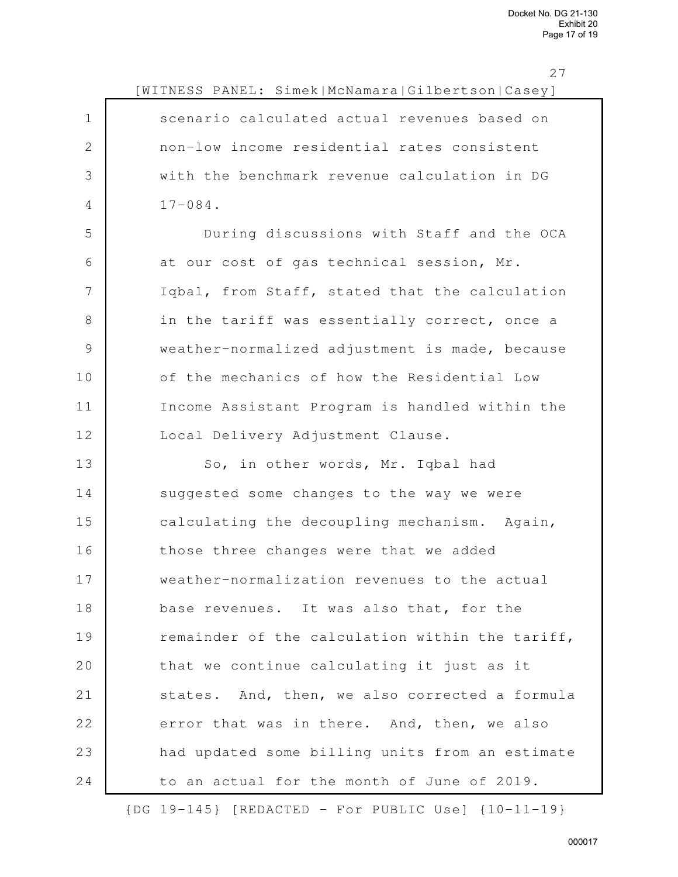|                | $\angle$ 1<br>[WITNESS PANEL: Simek McNamara Gilbertson Casey] |
|----------------|----------------------------------------------------------------|
| $\mathbf 1$    | scenario calculated actual revenues based on                   |
| $\mathbf{2}$   | non-low income residential rates consistent                    |
| 3              | with the benchmark revenue calculation in DG                   |
| $\overline{4}$ | $17 - 084$ .                                                   |
| 5              | During discussions with Staff and the OCA                      |
| 6              | at our cost of gas technical session, Mr.                      |
| 7              | Iqbal, from Staff, stated that the calculation                 |
| 8              | in the tariff was essentially correct, once a                  |
| $\mathcal{G}$  | weather-normalized adjustment is made, because                 |
| 10             | of the mechanics of how the Residential Low                    |
| 11             | Income Assistant Program is handled within the                 |
| 12             | Local Delivery Adjustment Clause.                              |
| 13             | So, in other words, Mr. Iqbal had                              |
| 14             | suggested some changes to the way we were                      |
| 15             | calculating the decoupling mechanism. Again,                   |
| 16             | those three changes were that we added                         |
| 17             | weather-normalization revenues to the actual                   |
| 18             | base revenues. It was also that, for the                       |
| 19             | remainder of the calculation within the tariff,                |
| 20             | that we continue calculating it just as it                     |
| 21             | states. And, then, we also corrected a formula                 |
| 22             | error that was in there. And, then, we also                    |
| 23             | had updated some billing units from an estimate                |
| 24             | to an actual for the month of June of 2019.                    |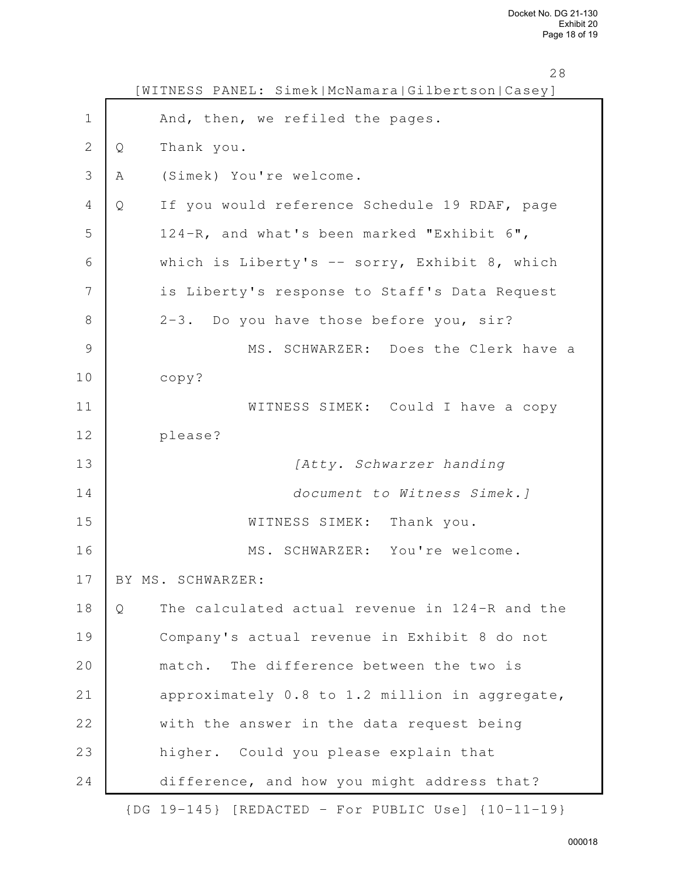|                | 28<br>WITNESS PANEL: Simek   McNamara   Gilbertson   Casey ] |
|----------------|--------------------------------------------------------------|
| $\mathbf 1$    | And, then, we refiled the pages.                             |
| $\mathbf{2}$   | Thank you.<br>Q                                              |
| 3              | (Simek) You're welcome.<br>Α                                 |
| $\overline{4}$ | If you would reference Schedule 19 RDAF, page<br>Q           |
| 5              | 124-R, and what's been marked "Exhibit 6",                   |
| 6              | which is Liberty's $-$ sorry, Exhibit 8, which               |
| 7              | is Liberty's response to Staff's Data Request                |
| 8              | 2-3. Do you have those before you, sir?                      |
| $\mathcal{G}$  | MS. SCHWARZER: Does the Clerk have a                         |
| 10             | copy?                                                        |
| 11             | WITNESS SIMEK: Could I have a copy                           |
| 12             | please?                                                      |
| 13             | [Atty. Schwarzer handing                                     |
| 14             | document to Witness Simek.]                                  |
| 15             | WITNESS SIMEK: Thank you.                                    |
| 16             | MS. SCHWARZER: You're welcome.                               |
| 17             | BY MS. SCHWARZER:                                            |
| 18             | The calculated actual revenue in 124-R and the<br>Q          |
| 19             | Company's actual revenue in Exhibit 8 do not                 |
| 20             | match. The difference between the two is                     |
| 21             | approximately 0.8 to 1.2 million in aggregate,               |
| 22             | with the answer in the data request being                    |
| 23             | higher. Could you please explain that                        |
| 24             | difference, and how you might address that?                  |